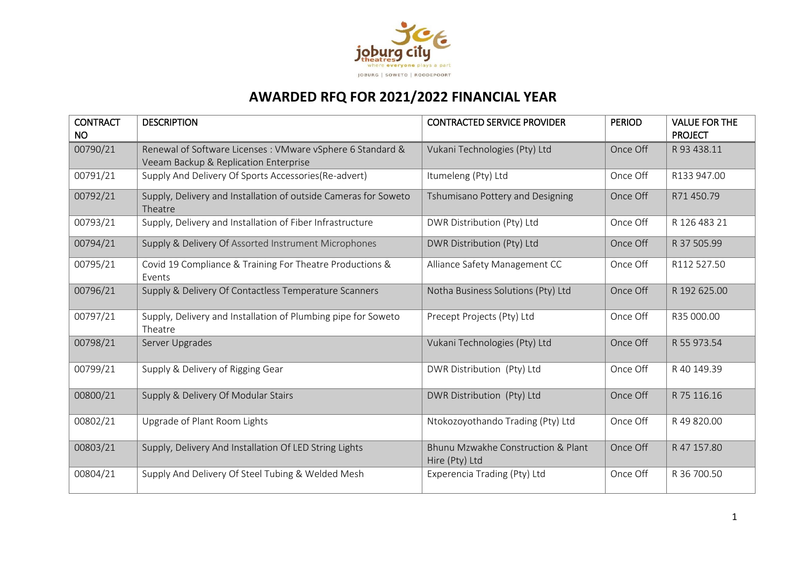

## **AWARDED RFQ FOR 2021/2022 FINANCIAL YEAR**

| <b>CONTRACT</b><br><b>NO</b> | <b>DESCRIPTION</b>                                                                                 | <b>CONTRACTED SERVICE PROVIDER</b>                   | <b>PERIOD</b> | <b>VALUE FOR THE</b><br><b>PROJECT</b> |
|------------------------------|----------------------------------------------------------------------------------------------------|------------------------------------------------------|---------------|----------------------------------------|
| 00790/21                     | Renewal of Software Licenses: VMware vSphere 6 Standard &<br>Veeam Backup & Replication Enterprise | Vukani Technologies (Pty) Ltd                        | Once Off      | R 93 438.11                            |
| 00791/21                     | Supply And Delivery Of Sports Accessories (Re-advert)                                              | Itumeleng (Pty) Ltd                                  | Once Off      | R133 947.00                            |
| 00792/21                     | Supply, Delivery and Installation of outside Cameras for Soweto<br>Theatre                         | Tshumisano Pottery and Designing                     | Once Off      | R71 450.79                             |
| 00793/21                     | Supply, Delivery and Installation of Fiber Infrastructure                                          | DWR Distribution (Pty) Ltd                           | Once Off      | R 126 483 21                           |
| 00794/21                     | Supply & Delivery Of Assorted Instrument Microphones                                               | DWR Distribution (Pty) Ltd                           | Once Off      | R 37 505.99                            |
| 00795/21                     | Covid 19 Compliance & Training For Theatre Productions &<br>Events                                 | Alliance Safety Management CC                        | Once Off      | R112 527.50                            |
| 00796/21                     | Supply & Delivery Of Contactless Temperature Scanners                                              | Notha Business Solutions (Pty) Ltd                   | Once Off      | R 192 625.00                           |
| 00797/21                     | Supply, Delivery and Installation of Plumbing pipe for Soweto<br>Theatre                           | Precept Projects (Pty) Ltd                           | Once Off      | R35 000.00                             |
| 00798/21                     | Server Upgrades                                                                                    | Vukani Technologies (Pty) Ltd                        | Once Off      | R 55 973.54                            |
| 00799/21                     | Supply & Delivery of Rigging Gear                                                                  | DWR Distribution (Pty) Ltd                           | Once Off      | R 40 149.39                            |
| 00800/21                     | Supply & Delivery Of Modular Stairs                                                                | DWR Distribution (Pty) Ltd                           | Once Off      | R 75 116.16                            |
| 00802/21                     | Upgrade of Plant Room Lights                                                                       | Ntokozoyothando Trading (Pty) Ltd                    | Once Off      | R 49 820.00                            |
| 00803/21                     | Supply, Delivery And Installation Of LED String Lights                                             | Bhunu Mzwakhe Construction & Plant<br>Hire (Pty) Ltd | Once Off      | R 47 157.80                            |
| 00804/21                     | Supply And Delivery Of Steel Tubing & Welded Mesh                                                  | Experencia Trading (Pty) Ltd                         | Once Off      | R 36 700.50                            |